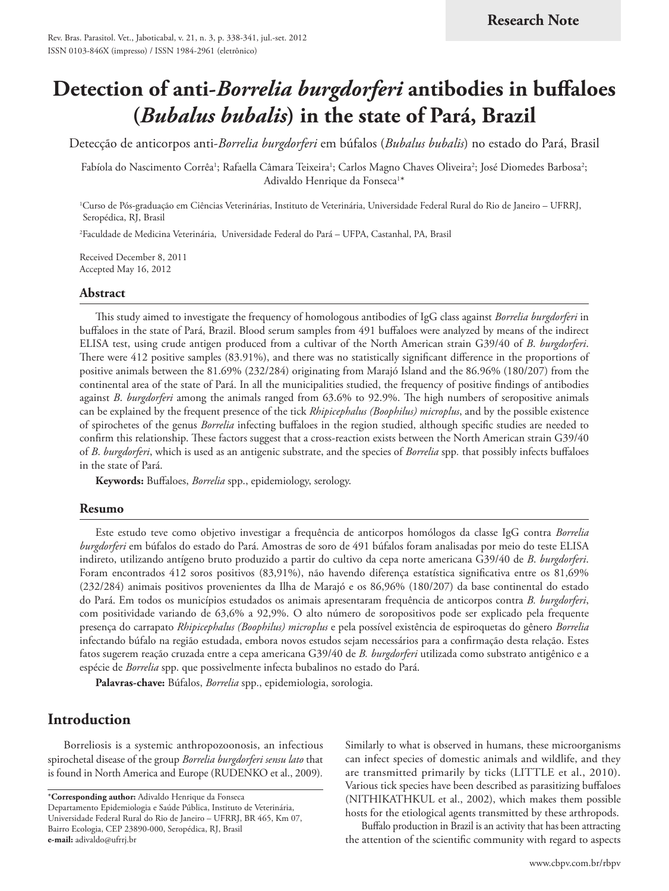# **Detection of anti-***Borrelia burgdorferi* **antibodies in buffaloes (***Bubalus bubalis***) in the state of Pará, Brazil**

Detecção de anticorpos anti-*Borrelia burgdorferi* em búfalos (*Bubalus bubalis*) no estado do Pará, Brasil

Fabíola do Nascimento Corrêa<sup>1</sup>; Rafaella Câmara Teixeira<sup>1</sup>; Carlos Magno Chaves Oliveira<sup>2</sup>; José Diomedes Barbosa<sup>2</sup>; Adivaldo Henrique da Fonseca<sup>1</sup>\*

1 Curso de Pós-graduação em Ciências Veterinárias, Instituto de Veterinária, Universidade Federal Rural do Rio de Janeiro – UFRRJ, Seropédica, RJ, Brasil

2 Faculdade de Medicina Veterinária, Universidade Federal do Pará – UFPA, Castanhal, PA, Brasil

Received December 8, 2011 Accepted May 16, 2012

#### **Abstract**

This study aimed to investigate the frequency of homologous antibodies of IgG class against *Borrelia burgdorferi* in buffaloes in the state of Pará, Brazil. Blood serum samples from 491 buffaloes were analyzed by means of the indirect ELISA test, using crude antigen produced from a cultivar of the North American strain G39/40 of *B*. *burgdorferi*. There were 412 positive samples (83.91%), and there was no statistically significant difference in the proportions of positive animals between the 81.69% (232/284) originating from Marajó Island and the 86.96% (180/207) from the continental area of the state of Pará. In all the municipalities studied, the frequency of positive findings of antibodies against *B*. *burgdorferi* among the animals ranged from 63.6% to 92.9%. The high numbers of seropositive animals can be explained by the frequent presence of the tick *Rhipicephalus (Boophilus) microplus*, and by the possible existence of spirochetes of the genus *Borrelia* infecting buffaloes in the region studied, although specific studies are needed to confirm this relationship. These factors suggest that a cross-reaction exists between the North American strain G39/40 of *B*. *burgdorferi*, which is used as an antigenic substrate, and the species of *Borrelia* spp*.* that possibly infects buffaloes in the state of Pará.

**Keywords:** Buffaloes, *Borrelia* spp., epidemiology, serology.

#### **Resumo**

Este estudo teve como objetivo investigar a frequência de anticorpos homólogos da classe IgG contra *Borrelia burgdorferi* em búfalos do estado do Pará. Amostras de soro de 491 búfalos foram analisadas por meio do teste ELISA indireto, utilizando antígeno bruto produzido a partir do cultivo da cepa norte americana G39/40 de *B*. *burgdorferi*. Foram encontrados 412 soros positivos (83,91%), não havendo diferença estatística significativa entre os 81,69% (232/284) animais positivos provenientes da Ilha de Marajó e os 86,96% (180/207) da base continental do estado do Pará. Em todos os municípios estudados os animais apresentaram frequência de anticorpos contra *B. burgdorferi*, com positividade variando de 63,6% a 92,9%. O alto número de soropositivos pode ser explicado pela frequente presença do carrapato *Rhipicephalus (Boophilus) microplus* e pela possível existência de espiroquetas do gênero *Borrelia* infectando búfalo na região estudada, embora novos estudos sejam necessários para a confirmação desta relação. Estes fatos sugerem reação cruzada entre a cepa americana G39/40 de *B. burgdorferi* utilizada como substrato antigênico e a espécie de *Borrelia* spp. que possivelmente infecta bubalinos no estado do Pará.

**Palavras-chave:** Búfalos, *Borrelia* spp., epidemiologia, sorologia.

# **Introduction**

Borreliosis is a systemic anthropozoonosis, an infectious spirochetal disease of the group *Borrelia burgdorferi sensu lato* that is found in North America and Europe (RUDENKO et al., 2009)*.* 

\***Corresponding author:** Adivaldo Henrique da Fonseca Departamento Epidemiologia e Saúde Pública, Instituto de Veterinária,

Universidade Federal Rural do Rio de Janeiro – UFRRJ, BR 465, Km 07, Bairro Ecologia, CEP 23890-000, Seropédica, RJ, Brasil **e-mail:** [adivaldo@ufrrj.br](mailto:adivaldo@ufrrj.br)

Similarly to what is observed in humans, these microorganisms can infect species of domestic animals and wildlife, and they are transmitted primarily by ticks (LITTLE et al., 2010). Various tick species have been described as parasitizing buffaloes (NITHIKATHKUL et al., 2002), which makes them possible hosts for the etiological agents transmitted by these arthropods.

Buffalo production in Brazil is an activity that has been attracting the attention of the scientific community with regard to aspects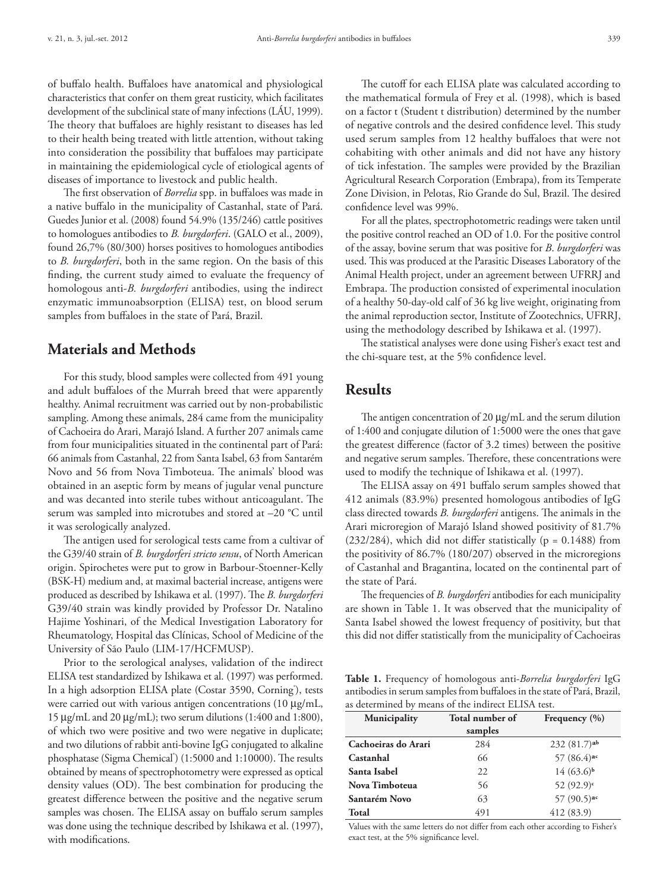of buffalo health. Buffaloes have anatomical and physiological characteristics that confer on them great rusticity, which facilitates development of the subclinical state of many infections (LÁU, 1999). The theory that buffaloes are highly resistant to diseases has led to their health being treated with little attention, without taking into consideration the possibility that buffaloes may participate in maintaining the epidemiological cycle of etiological agents of diseases of importance to livestock and public health.

The first observation of *Borrelia* spp. in buffaloes was made in a native buffalo in the municipality of Castanhal, state of Pará. Guedes Junior et al. (2008) found 54.9% (135/246) cattle positives to homologues antibodies to *B. burgdorferi*. (GALO et al., 2009), found 26,7% (80/300) horses positives to homologues antibodies to *B. burgdorferi*, both in the same region. On the basis of this finding, the current study aimed to evaluate the frequency of homologous anti-*B. burgdorferi* antibodies, using the indirect enzymatic immunoabsorption (ELISA) test, on blood serum samples from buffaloes in the state of Pará, Brazil.

#### **Materials and Methods**

For this study, blood samples were collected from 491 young and adult buffaloes of the Murrah breed that were apparently healthy. Animal recruitment was carried out by non-probabilistic sampling. Among these animals, 284 came from the municipality of Cachoeira do Arari, Marajó Island. A further 207 animals came from four municipalities situated in the continental part of Pará: 66 animals from Castanhal, 22 from Santa Isabel, 63 from Santarém Novo and 56 from Nova Timboteua. The animals' blood was obtained in an aseptic form by means of jugular venal puncture and was decanted into sterile tubes without anticoagulant. The serum was sampled into microtubes and stored at –20 °C until it was serologically analyzed.

The antigen used for serological tests came from a cultivar of the G39/40 strain of *B. burgdorferi stricto sensu*, of North American origin. Spirochetes were put to grow in Barbour-Stoenner-Kelly (BSK-H) medium and, at maximal bacterial increase, antigens were produced as described by Ishikawa et al. (1997). The *B. burgdorferi* G39/40 strain was kindly provided by Professor Dr. Natalino Hajime Yoshinari, of the Medical Investigation Laboratory for Rheumatology, Hospital das Clínicas, School of Medicine of the University of São Paulo (LIM-17/HCFMUSP).

Prior to the serological analyses, validation of the indirect ELISA test standardized by Ishikawa et al. (1997) was performed. In a high adsorption ELISA plate (Costar 3590, Corning<sup>®</sup>), tests were carried out with various antigen concentrations (10 µg/mL, 15 µg/mL and 20 µg/mL); two serum dilutions (1:400 and 1:800), of which two were positive and two were negative in duplicate; and two dilutions of rabbit anti-bovine IgG conjugated to alkaline phosphatase (Sigma Chemical<sup>®</sup>) (1:5000 and 1:10000). The results obtained by means of spectrophotometry were expressed as optical density values (OD). The best combination for producing the greatest difference between the positive and the negative serum samples was chosen. The ELISA assay on buffalo serum samples was done using the technique described by Ishikawa et al. (1997), with modifications.

The cutoff for each ELISA plate was calculated according to the mathematical formula of Frey et al. (1998), which is based on a factor t (Student t distribution) determined by the number of negative controls and the desired confidence level. This study used serum samples from 12 healthy buffaloes that were not cohabiting with other animals and did not have any history of tick infestation. The samples were provided by the Brazilian Agricultural Research Corporation (Embrapa), from its Temperate Zone Division, in Pelotas, Rio Grande do Sul, Brazil. The desired confidence level was 99%.

For all the plates, spectrophotometric readings were taken until the positive control reached an OD of 1.0. For the positive control of the assay, bovine serum that was positive for *B*. *burgdorferi* was used. This was produced at the Parasitic Diseases Laboratory of the Animal Health project, under an agreement between UFRRJ and Embrapa. The production consisted of experimental inoculation of a healthy 50-day-old calf of 36 kg live weight, originating from the animal reproduction sector, Institute of Zootechnics, UFRRJ, using the methodology described by Ishikawa et al. (1997).

The statistical analyses were done using Fisher's exact test and the chi-square test, at the 5% confidence level.

#### **Results**

The antigen concentration of 20 µg/mL and the serum dilution of 1:400 and conjugate dilution of 1:5000 were the ones that gave the greatest difference (factor of 3.2 times) between the positive and negative serum samples. Therefore, these concentrations were used to modify the technique of Ishikawa et al. (1997).

The ELISA assay on 491 buffalo serum samples showed that 412 animals (83.9%) presented homologous antibodies of IgG class directed towards *B. burgdorferi* antigens. The animals in the Arari microregion of Marajó Island showed positivity of 81.7%  $(232/284)$ , which did not differ statistically (p = 0.1488) from the positivity of 86.7% (180/207) observed in the microregions of Castanhal and Bragantina, located on the continental part of the state of Pará.

The frequencies of *B. burgdorferi* antibodies for each municipality are shown in Table 1. It was observed that the municipality of Santa Isabel showed the lowest frequency of positivity, but that this did not differ statistically from the municipality of Cachoeiras

**Table 1.** Frequency of homologous anti-*Borrelia burgdorferi* IgG antibodies in serum samples from buffaloes in the state of Pará, Brazil, as determined by means of the indirect ELISA test.

| Municipality        | Total number of | Frequency $(\% )$        |
|---------------------|-----------------|--------------------------|
|                     | samples         |                          |
| Cachoeiras do Arari | 284             | 232(81.7) <sup>ab</sup>  |
| Castanhal           | 66              | 57 $(86.4)$ ac           |
| Santa Isabel        | 22              | $14(63.6)^{b}$           |
| Nova Timboteua      | 56              | 52 $(92.9)$ <sup>c</sup> |
| Santarém Novo       | 63              | 57 (90.5) <sup>ac</sup>  |
| <b>Total</b>        | 491             | 412 (83.9)               |

Values with the same letters do not differ from each other according to Fisher's exact test, at the 5% significance level.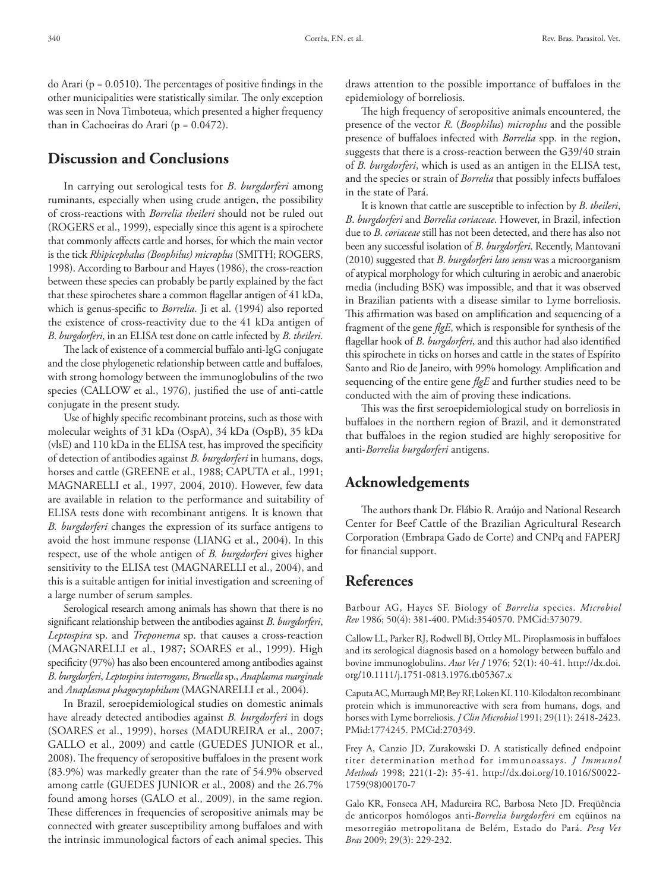do Arari ( $p = 0.0510$ ). The percentages of positive findings in the other municipalities were statistically similar. The only exception was seen in Nova Timboteua, which presented a higher frequency than in Cachoeiras do Arari (p = 0.0472).

## **Discussion and Conclusions**

In carrying out serological tests for *B*. *burgdorferi* among ruminants, especially when using crude antigen, the possibility of cross-reactions with *Borrelia theileri* should not be ruled out (ROGERS et al., 1999), especially since this agent is a spirochete that commonly affects cattle and horses, for which the main vector is the tick *Rhipicephalus (Boophilus) microplus* (SMITH; ROGERS, 1998). According to Barbour and Hayes (1986), the cross-reaction between these species can probably be partly explained by the fact that these spirochetes share a common flagellar antigen of 41 kDa, which is genus-specific to *Borrelia*. Ji et al. (1994) also reported the existence of cross-reactivity due to the 41 kDa antigen of *B*. *burgdorferi*, in an ELISA test done on cattle infected by *B*. *theileri*.

The lack of existence of a commercial buffalo anti-IgG conjugate and the close phylogenetic relationship between cattle and buffaloes, with strong homology between the immunoglobulins of the two species (CALLOW et al., 1976), justified the use of anti-cattle conjugate in the present study.

Use of highly specific recombinant proteins, such as those with molecular weights of 31 kDa (OspA), 34 kDa (OspB), 35 kDa (vlsE) and 110 kDa in the ELISA test, has improved the specificity of detection of antibodies against *B. burgdorferi* in humans, dogs, horses and cattle (GREENE et al., 1988; CAPUTA et al., 1991; MAGNARELLI et al., 1997, 2004, 2010). However, few data are available in relation to the performance and suitability of ELISA tests done with recombinant antigens. It is known that *B. burgdorferi* changes the expression of its surface antigens to avoid the host immune response (LIANG et al., 2004). In this respect, use of the whole antigen of *B. burgdorferi* gives higher sensitivity to the ELISA test (MAGNARELLI et al., 2004), and this is a suitable antigen for initial investigation and screening of a large number of serum samples.

Serological research among animals has shown that there is no significant relationship between the antibodies against *B*. *burgdorferi*, *Leptospira* sp. and *Treponema* sp. that causes a cross-reaction (MAGNARELLI et al., 1987; SOARES et al., 1999). High specificity (97%) has also been encountered among antibodies against *B*. *burgdorferi*, *Leptospira interrogans*, *Brucella* sp., *Anaplasma marginale* and *Anaplasma phagocytophilum* (MAGNARELLI et al., 2004).

In Brazil, seroepidemiological studies on domestic animals have already detected antibodies against *B. burgdorferi* in dogs (SOARES et al., 1999), horses (MADUREIRA et al., 2007; GALLO et al., 2009) and cattle (GUEDES JUNIOR et al., 2008). The frequency of seropositive buffaloes in the present work (83.9%) was markedly greater than the rate of 54.9% observed among cattle (GUEDES JUNIOR et al., 2008) and the 26.7% found among horses (GALO et al., 2009), in the same region. These differences in frequencies of seropositive animals may be connected with greater susceptibility among buffaloes and with the intrinsic immunological factors of each animal species. This draws attention to the possible importance of buffaloes in the epidemiology of borreliosis.

The high frequency of seropositive animals encountered, the presence of the vector *R.* (*Boophilus*) *microplus* and the possible presence of buffaloes infected with *Borrelia* spp. in the region, suggests that there is a cross-reaction between the G39/40 strain of *B. burgdorferi*, which is used as an antigen in the ELISA test, and the species or strain of *Borrelia* that possibly infects buffaloes in the state of Pará.

It is known that cattle are susceptible to infection by *B*. *theileri*, *B*. *burgdorferi* and *Borrelia coriaceae*. However, in Brazil, infection due to *B*. *coriaceae* still has not been detected, and there has also not been any successful isolation of *B*. *burgdorferi*. Recently, Mantovani (2010) suggested that *B*. *burgdorferi lato sensu* was a microorganism of atypical morphology for which culturing in aerobic and anaerobic media (including BSK) was impossible, and that it was observed in Brazilian patients with a disease similar to Lyme borreliosis. This affirmation was based on amplification and sequencing of a fragment of the gene *flgE*, which is responsible for synthesis of the flagellar hook of *B*. *burgdorferi*, and this author had also identified this spirochete in ticks on horses and cattle in the states of Espírito Santo and Rio de Janeiro, with 99% homology. Amplification and sequencing of the entire gene *flgE* and further studies need to be conducted with the aim of proving these indications.

This was the first seroepidemiological study on borreliosis in buffaloes in the northern region of Brazil, and it demonstrated that buffaloes in the region studied are highly seropositive for anti-*Borrelia burgdorferi* antigens.

### **Acknowledgements**

The authors thank Dr. Flábio R. Araújo and National Research Center for Beef Cattle of the Brazilian Agricultural Research Corporation (Embrapa Gado de Corte) and CNPq and FAPERJ for financial support.

## **References**

Barbour AG, Hayes SF. Biology of *Borrelia* species. *Microbiol Rev* 1986; 50(4): 381-400. PMid:3540570. PMCid:373079.

Callow LL, Parker RJ, Rodwell BJ, Ottley ML. Piroplasmosis in buffaloes and its serological diagnosis based on a homology between buffalo and bovine immunoglobulins. *Aust Vet J* 1976; 52(1): 40-41. [http://dx.doi.](http://dx.doi.org/10.1111/j.1751-0813.1976.tb05367.x
) [org/10.1111/j.1751-0813.1976.tb05367.x](http://dx.doi.org/10.1111/j.1751-0813.1976.tb05367.x
)

Caputa AC, Murtaugh MP, Bey RF, Loken KI. 110-Kilodalton recombinant protein which is immunoreactive with sera from humans, dogs, and horses with Lyme borreliosis. *J Clin Microbiol* 1991; 29(11): 2418-2423. PMid:1774245. PMCid:270349.

Frey A, Canzio JD, Zurakowski D. A statistically defined endpoint titer determination method for immunoassays. *J Immunol Methods* 1998; 221(1-2): 35-41. [http://dx.doi.org/10.1016/S0022-](http://dx.doi.org/10.1016/S0022-1759(98)00170-7
) [1759\(98\)00170-7](http://dx.doi.org/10.1016/S0022-1759(98)00170-7
)

Galo KR, Fonseca AH, Madureira RC, Barbosa Neto JD. Freqüência de anticorpos homólogos anti-*Borrelia burgdorferi* em eqüinos na mesorregião metropolitana de Belém, Estado do Pará. *Pesq Vet Bras* 2009; 29(3): 229-232.